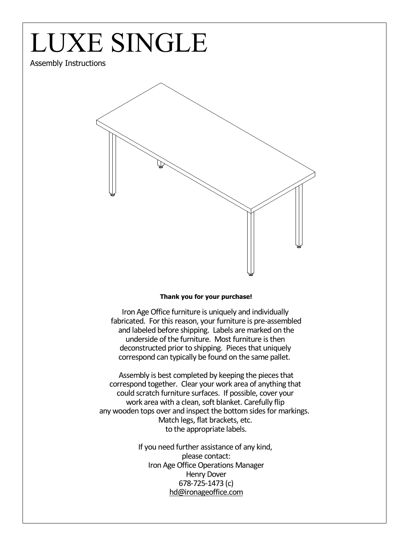## LUXE SINGLE

## Assembly Instructions



## **Thank you for your purchase!**

Iron Age Office furniture is uniquely and individually fabricated. For this reason, your furniture is pre-assembled and labeled before shipping. Labels are marked on the underside of the furniture. Most furniture is then deconstructed prior to shipping. Pieces that uniquely correspond can typically be found on the same pallet.

Assembly is best completed by keeping the pieces that correspond together. Clear your work area of anything that could scratch furniture surfaces. If possible, cover your work area with a clean, soft blanket. Carefully flip any wooden tops over and inspect the bottom sides for markings. Match legs, flat brackets, etc. to the appropriate labels.

> If you need further assistance of any kind, please contact: Iron Age Office Operations Manager Henry Dover 678-725-1473 (c) hd@ironageoffice.com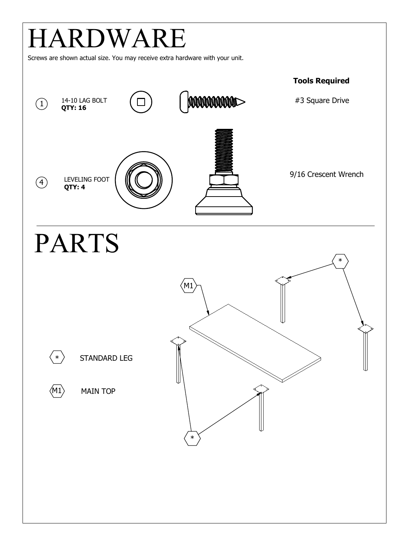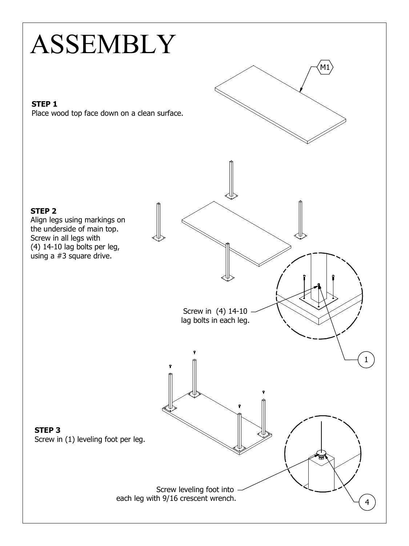